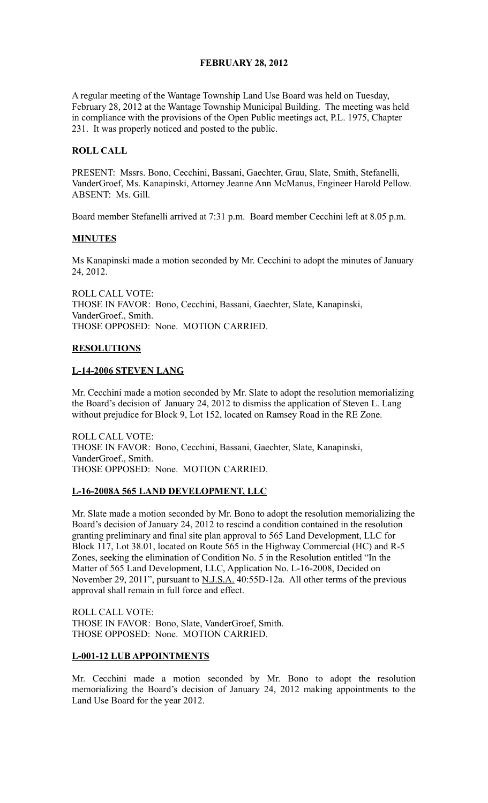## **FEBRUARY 28, 2012**

A regular meeting of the Wantage Township Land Use Board was held on Tuesday, February 28, 2012 at the Wantage Township Municipal Building. The meeting was held in compliance with the provisions of the Open Public meetings act, P.L. 1975, Chapter 231. It was properly noticed and posted to the public.

## **ROLL CALL**

PRESENT: Mssrs. Bono, Cecchini, Bassani, Gaechter, Grau, Slate, Smith, Stefanelli, VanderGroef, Ms. Kanapinski, Attorney Jeanne Ann McManus, Engineer Harold Pellow. ABSENT: Ms. Gill.

Board member Stefanelli arrived at 7:31 p.m. Board member Cecchini left at 8.05 p.m.

### **MINUTES**

Ms Kanapinski made a motion seconded by Mr. Cecchini to adopt the minutes of January 24, 2012.

ROLL CALL VOTE: THOSE IN FAVOR: Bono, Cecchini, Bassani, Gaechter, Slate, Kanapinski, VanderGroef., Smith. THOSE OPPOSED: None. MOTION CARRIED.

### **RESOLUTIONS**

#### **L-14-2006 STEVEN LANG**

Mr. Cecchini made a motion seconded by Mr. Slate to adopt the resolution memorializing the Board's decision of January 24, 2012 to dismiss the application of Steven L. Lang without prejudice for Block 9, Lot 152, located on Ramsey Road in the RE Zone.

ROLL CALL VOTE: THOSE IN FAVOR: Bono, Cecchini, Bassani, Gaechter, Slate, Kanapinski, VanderGroef., Smith. THOSE OPPOSED: None. MOTION CARRIED.

### **L-16-2008A 565 LAND DEVELOPMENT, LLC**

Mr. Slate made a motion seconded by Mr. Bono to adopt the resolution memorializing the Board's decision of January 24, 2012 to rescind a condition contained in the resolution granting preliminary and final site plan approval to 565 Land Development, LLC for Block 117, Lot 38.01, located on Route 565 in the Highway Commercial (HC) and R-5 Zones, seeking the elimination of Condition No. 5 in the Resolution entitled "In the Matter of 565 Land Development, LLC, Application No. L-16-2008, Decided on November 29, 2011", pursuant to **N.J.S.A.** 40:55D-12a. All other terms of the previous approval shall remain in full force and effect.

ROLL CALL VOTE: THOSE IN FAVOR: Bono, Slate, VanderGroef, Smith. THOSE OPPOSED: None. MOTION CARRIED.

### **L-001-12 LUB APPOINTMENTS**

Mr. Cecchini made a motion seconded by Mr. Bono to adopt the resolution memorializing the Board's decision of January 24, 2012 making appointments to the Land Use Board for the year 2012.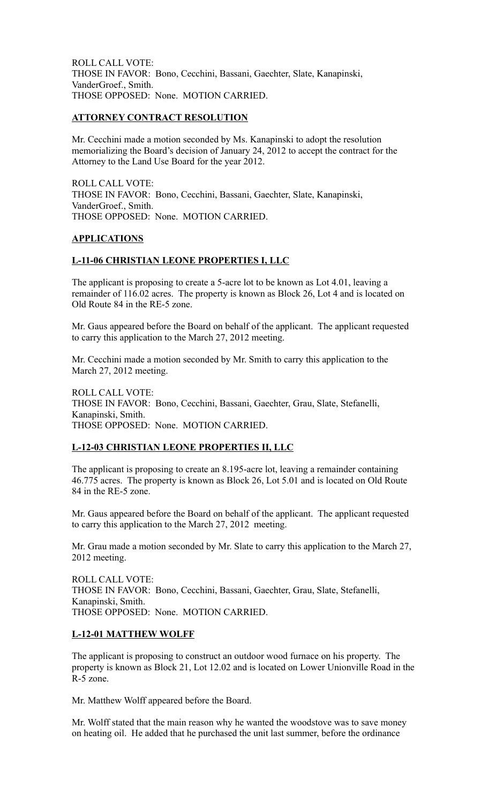ROLL CALL VOTE: THOSE IN FAVOR: Bono, Cecchini, Bassani, Gaechter, Slate, Kanapinski, VanderGroef., Smith. THOSE OPPOSED: None. MOTION CARRIED.

### **ATTORNEY CONTRACT RESOLUTION**

Mr. Cecchini made a motion seconded by Ms. Kanapinski to adopt the resolution memorializing the Board's decision of January 24, 2012 to accept the contract for the Attorney to the Land Use Board for the year 2012.

ROLL CALL VOTE: THOSE IN FAVOR: Bono, Cecchini, Bassani, Gaechter, Slate, Kanapinski, VanderGroef., Smith. THOSE OPPOSED: None. MOTION CARRIED.

## **APPLICATIONS**

### **L-11-06 CHRISTIAN LEONE PROPERTIES I, LLC**

The applicant is proposing to create a 5-acre lot to be known as Lot 4.01, leaving a remainder of 116.02 acres. The property is known as Block 26, Lot 4 and is located on Old Route 84 in the RE-5 zone.

Mr. Gaus appeared before the Board on behalf of the applicant. The applicant requested to carry this application to the March 27, 2012 meeting.

Mr. Cecchini made a motion seconded by Mr. Smith to carry this application to the March 27, 2012 meeting.

ROLL CALL VOTE: THOSE IN FAVOR: Bono, Cecchini, Bassani, Gaechter, Grau, Slate, Stefanelli, Kanapinski, Smith. THOSE OPPOSED: None. MOTION CARRIED.

# **L-12-03 CHRISTIAN LEONE PROPERTIES II, LLC**

The applicant is proposing to create an 8.195-acre lot, leaving a remainder containing 46.775 acres. The property is known as Block 26, Lot 5.01 and is located on Old Route 84 in the RE-5 zone.

Mr. Gaus appeared before the Board on behalf of the applicant. The applicant requested to carry this application to the March 27, 2012 meeting.

Mr. Grau made a motion seconded by Mr. Slate to carry this application to the March 27, 2012 meeting.

ROLL CALL VOTE: THOSE IN FAVOR: Bono, Cecchini, Bassani, Gaechter, Grau, Slate, Stefanelli, Kanapinski, Smith. THOSE OPPOSED: None. MOTION CARRIED.

# **L-12-01 MATTHEW WOLFF**

The applicant is proposing to construct an outdoor wood furnace on his property. The property is known as Block 21, Lot 12.02 and is located on Lower Unionville Road in the R-5 zone.

Mr. Matthew Wolff appeared before the Board.

Mr. Wolff stated that the main reason why he wanted the woodstove was to save money on heating oil. He added that he purchased the unit last summer, before the ordinance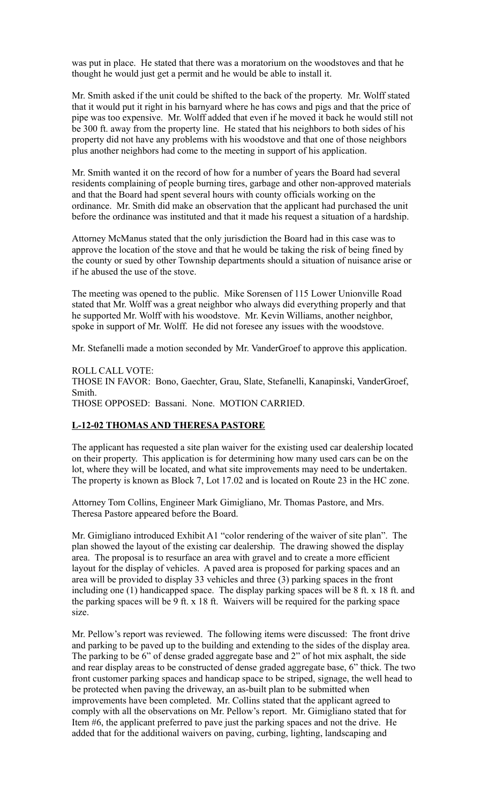was put in place. He stated that there was a moratorium on the woodstoves and that he thought he would just get a permit and he would be able to install it.

Mr. Smith asked if the unit could be shifted to the back of the property. Mr. Wolff stated that it would put it right in his barnyard where he has cows and pigs and that the price of pipe was too expensive. Mr. Wolff added that even if he moved it back he would still not be 300 ft. away from the property line. He stated that his neighbors to both sides of his property did not have any problems with his woodstove and that one of those neighbors plus another neighbors had come to the meeting in support of his application.

Mr. Smith wanted it on the record of how for a number of years the Board had several residents complaining of people burning tires, garbage and other non-approved materials and that the Board had spent several hours with county officials working on the ordinance. Mr. Smith did make an observation that the applicant had purchased the unit before the ordinance was instituted and that it made his request a situation of a hardship.

Attorney McManus stated that the only jurisdiction the Board had in this case was to approve the location of the stove and that he would be taking the risk of being fined by the county or sued by other Township departments should a situation of nuisance arise or if he abused the use of the stove.

The meeting was opened to the public. Mike Sorensen of 115 Lower Unionville Road stated that Mr. Wolff was a great neighbor who always did everything properly and that he supported Mr. Wolff with his woodstove. Mr. Kevin Williams, another neighbor, spoke in support of Mr. Wolff. He did not foresee any issues with the woodstove.

Mr. Stefanelli made a motion seconded by Mr. VanderGroef to approve this application.

ROLL CALL VOTE: THOSE IN FAVOR: Bono, Gaechter, Grau, Slate, Stefanelli, Kanapinski, VanderGroef, Smith. THOSE OPPOSED: Bassani. None. MOTION CARRIED.

### **L-12-02 THOMAS AND THERESA PASTORE**

The applicant has requested a site plan waiver for the existing used car dealership located on their property. This application is for determining how many used cars can be on the lot, where they will be located, and what site improvements may need to be undertaken. The property is known as Block 7, Lot 17.02 and is located on Route 23 in the HC zone.

Attorney Tom Collins, Engineer Mark Gimigliano, Mr. Thomas Pastore, and Mrs. Theresa Pastore appeared before the Board.

Mr. Gimigliano introduced Exhibit A1 "color rendering of the waiver of site plan". The plan showed the layout of the existing car dealership. The drawing showed the display area. The proposal is to resurface an area with gravel and to create a more efficient layout for the display of vehicles. A paved area is proposed for parking spaces and an area will be provided to display 33 vehicles and three (3) parking spaces in the front including one (1) handicapped space. The display parking spaces will be 8 ft. x 18 ft. and the parking spaces will be 9 ft. x 18 ft. Waivers will be required for the parking space size.

Mr. Pellow's report was reviewed. The following items were discussed: The front drive and parking to be paved up to the building and extending to the sides of the display area. The parking to be 6" of dense graded aggregate base and 2" of hot mix asphalt, the side and rear display areas to be constructed of dense graded aggregate base, 6" thick. The two front customer parking spaces and handicap space to be striped, signage, the well head to be protected when paving the driveway, an as-built plan to be submitted when improvements have been completed. Mr. Collins stated that the applicant agreed to comply with all the observations on Mr. Pellow's report. Mr. Gimigliano stated that for Item #6, the applicant preferred to pave just the parking spaces and not the drive. He added that for the additional waivers on paving, curbing, lighting, landscaping and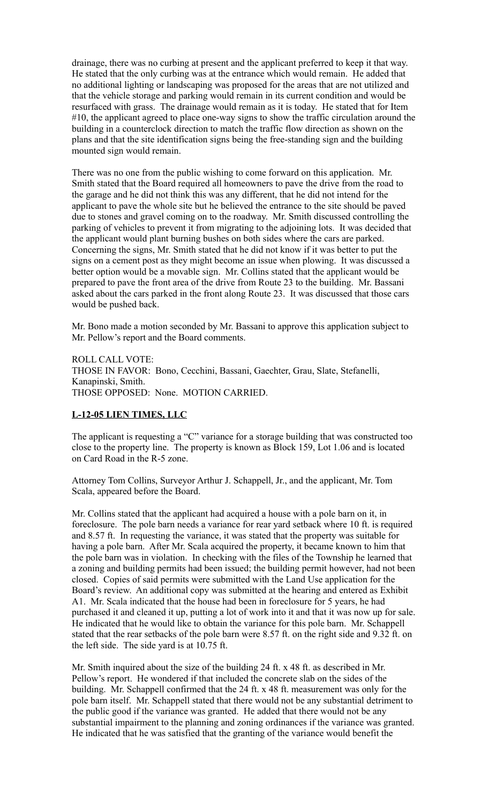drainage, there was no curbing at present and the applicant preferred to keep it that way. He stated that the only curbing was at the entrance which would remain. He added that no additional lighting or landscaping was proposed for the areas that are not utilized and that the vehicle storage and parking would remain in its current condition and would be resurfaced with grass. The drainage would remain as it is today. He stated that for Item #10, the applicant agreed to place one-way signs to show the traffic circulation around the building in a counterclock direction to match the traffic flow direction as shown on the plans and that the site identification signs being the free-standing sign and the building mounted sign would remain.

There was no one from the public wishing to come forward on this application. Mr. Smith stated that the Board required all homeowners to pave the drive from the road to the garage and he did not think this was any different, that he did not intend for the applicant to pave the whole site but he believed the entrance to the site should be paved due to stones and gravel coming on to the roadway. Mr. Smith discussed controlling the parking of vehicles to prevent it from migrating to the adjoining lots. It was decided that the applicant would plant burning bushes on both sides where the cars are parked. Concerning the signs, Mr. Smith stated that he did not know if it was better to put the signs on a cement post as they might become an issue when plowing. It was discussed a better option would be a movable sign. Mr. Collins stated that the applicant would be prepared to pave the front area of the drive from Route 23 to the building. Mr. Bassani asked about the cars parked in the front along Route 23. It was discussed that those cars would be pushed back.

Mr. Bono made a motion seconded by Mr. Bassani to approve this application subject to Mr. Pellow's report and the Board comments.

ROLL CALL VOTE: THOSE IN FAVOR: Bono, Cecchini, Bassani, Gaechter, Grau, Slate, Stefanelli, Kanapinski, Smith. THOSE OPPOSED: None. MOTION CARRIED.

### **L-12-05 LIEN TIMES, LLC**

The applicant is requesting a "C" variance for a storage building that was constructed too close to the property line. The property is known as Block 159, Lot 1.06 and is located on Card Road in the R-5 zone.

Attorney Tom Collins, Surveyor Arthur J. Schappell, Jr., and the applicant, Mr. Tom Scala, appeared before the Board.

Mr. Collins stated that the applicant had acquired a house with a pole barn on it, in foreclosure. The pole barn needs a variance for rear yard setback where 10 ft. is required and 8.57 ft. In requesting the variance, it was stated that the property was suitable for having a pole barn. After Mr. Scala acquired the property, it became known to him that the pole barn was in violation. In checking with the files of the Township he learned that a zoning and building permits had been issued; the building permit however, had not been closed. Copies of said permits were submitted with the Land Use application for the Board's review. An additional copy was submitted at the hearing and entered as Exhibit A1. Mr. Scala indicated that the house had been in foreclosure for 5 years, he had purchased it and cleaned it up, putting a lot of work into it and that it was now up for sale. He indicated that he would like to obtain the variance for this pole barn. Mr. Schappell stated that the rear setbacks of the pole barn were 8.57 ft. on the right side and 9.32 ft. on the left side. The side yard is at 10.75 ft.

Mr. Smith inquired about the size of the building 24 ft. x 48 ft. as described in Mr. Pellow's report. He wondered if that included the concrete slab on the sides of the building. Mr. Schappell confirmed that the 24 ft. x 48 ft. measurement was only for the pole barn itself. Mr. Schappell stated that there would not be any substantial detriment to the public good if the variance was granted. He added that there would not be any substantial impairment to the planning and zoning ordinances if the variance was granted. He indicated that he was satisfied that the granting of the variance would benefit the